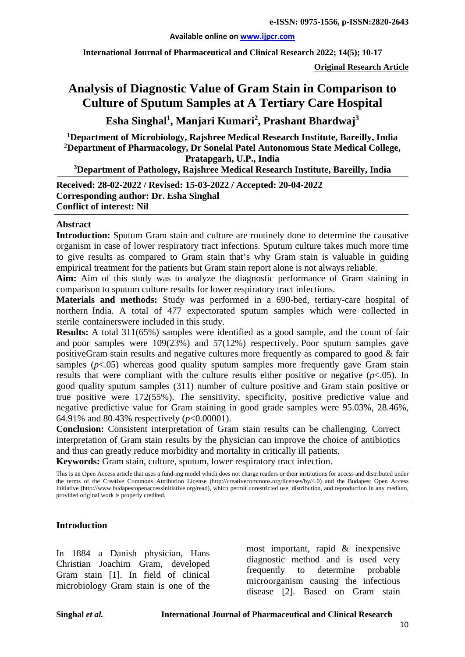#### **Available online on [www.ijpcr.com](http://www.ijpcr.com/)**

**International Journal of Pharmaceutical and Clinical Research 2022; 14(5); 10-17**

**Original Research Article**

# **Analysis of Diagnostic Value of Gram Stain in Comparison to Culture of Sputum Samples at A Tertiary Care Hospital**

**Esha Singhal1 , Manjari Kumari<sup>2</sup> , Prashant Bhardwaj<sup>3</sup>**

**1 Department of Microbiology, Rajshree Medical Research Institute, Bareilly, India 2 Department of Pharmacology, Dr Sonelal Patel Autonomous State Medical College, Pratapgarh, U.P., India**

**3 Department of Pathology, Rajshree Medical Research Institute, Bareilly, India**

**Received: 28-02-2022 / Revised: 15-03-2022 / Accepted: 20-04-2022 Corresponding author: Dr. Esha Singhal Conflict of interest: Nil**

#### **Abstract**

**Introduction:** Sputum Gram stain and culture are routinely done to determine the causative organism in case of lower respiratory tract infections. Sputum culture takes much more time to give results as compared to Gram stain that's why Gram stain is valuable in guiding empirical treatment for the patients but Gram stain report alone is not always reliable.

**Aim:** Aim of this study was to analyze the diagnostic performance of Gram staining in comparison to sputum culture results for lower respiratory tract infections.

**Materials and methods:** Study was performed in a 690-bed, tertiary-care hospital of northern India. A total of 477 expectorated sputum samples which were collected in sterile containerswere included in this study.

**Results:** A total 311(65%) samples were identified as a good sample, and the count of fair and poor samples were 109(23%) and 57(12%) respectively. Poor sputum samples gave positiveGram stain results and negative cultures more frequently as compared to good & fair samples  $(p<.05)$  whereas good quality sputum samples more frequently gave Gram stain results that were compliant with the culture results either positive or negative  $(p<.05)$ . In good quality sputum samples (311) number of culture positive and Gram stain positive or true positive were 172(55%). The sensitivity, specificity, positive predictive value and negative predictive value for Gram staining in good grade samples were 95.03%, 28.46%, 64.91% and 80.43% respectively (*p*<0.00001).

**Conclusion:** Consistent interpretation of Gram stain results can be challenging. Correct interpretation of Gram stain results by the physician can improve the choice of antibiotics and thus can greatly reduce morbidity and mortality in critically ill patients. **Keywords:** Gram stain, culture, sputum, lower respiratory tract infection.

This is an Open Access article that uses a fund-ing model which does not charge readers or their institutions for access and distributed under the terms of the Creative Commons Attribution License (http://creativecommons.org/licenses/by/4.0) and the Budapest Open Access Initiative (http://www.budapestopenaccessinitiative.org/read), which permit unrestricted use, distribution, and reproduction in any medium, provided original work is properly credited.

### **Introduction**

In 1884 a Danish physician, Hans Christian Joachim Gram, developed Gram stain [1]. In field of clinical microbiology Gram stain is one of the most important, rapid & inexpensive diagnostic method and is used very frequently to determine probable microorganism causing the infectious disease [2]. Based on Gram stain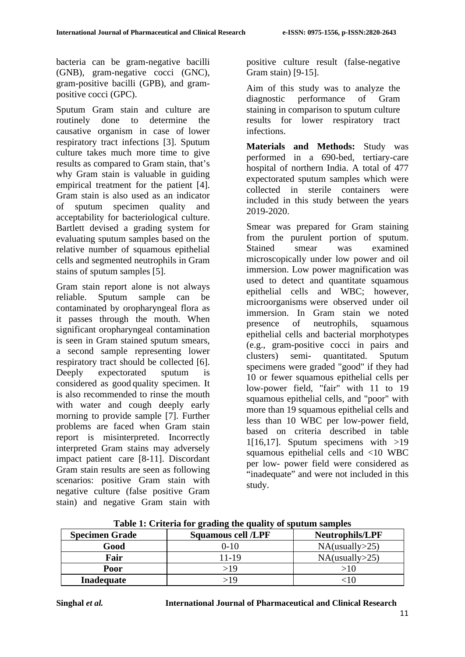bacteria can be gram-negative bacilli (GNB), gram-negative cocci (GNC), gram-positive bacilli (GPB), and grampositive cocci (GPC).

Sputum Gram stain and culture are routinely done to determine the causative organism in case of lower respiratory tract infections [3]. Sputum culture takes much more time to give results as compared to Gram stain, that's why Gram stain is valuable in guiding empirical treatment for the patient [4]. Gram stain is also used as an indicator of sputum specimen quality and acceptability for bacteriological culture. Bartlett devised a grading system for evaluating sputum samples based on the relative number of squamous epithelial cells and segmented neutrophils in Gram stains of sputum samples [5].

Gram stain report alone is not always reliable. Sputum sample can be contaminated by oropharyngeal flora as it passes through the mouth. When significant oropharyngeal contamination is seen in Gram stained sputum smears, a second sample representing lower respiratory tract should be collected [6]. Deeply expectorated sputum is considered as good quality specimen. It is also recommended to rinse the mouth with water and cough deeply early morning to provide sample [7]. Further problems are faced when Gram stain report is misinterpreted. Incorrectly interpreted Gram stains may adversely impact patient care [8-11]. Discordant Gram stain results are seen as following scenarios: positive Gram stain with negative culture (false positive Gram stain) and negative Gram stain with

positive culture result (false-negative Gram stain) [9-15].

Aim of this study was to analyze the diagnostic performance of Gram staining in comparison to sputum culture results for lower respiratory tract infections.

**Materials and Methods:** Study was performed in a 690-bed, tertiary-care hospital of northern India. A total of 477 expectorated sputum samples which were collected in sterile containers were included in this study between the years 2019-2020.

Smear was prepared for Gram staining from the purulent portion of sputum. Stained smear was examined microscopically under low power and oil immersion. Low power magnification was used to detect and quantitate squamous epithelial cells and WBC; however, microorganisms were observed under oil immersion. In Gram stain we noted presence of neutrophils, squamous epithelial cells and bacterial morphotypes (e.g., gram-positive cocci in pairs and clusters) semi- quantitated. Sputum specimens were graded "good" if they had 10 or fewer squamous epithelial cells per low-power field, "fair" with 11 to 19 squamous epithelial cells, and "poor" with more than 19 squamous epithelial cells and less than 10 WBC per low-power field, based on criteria described in table 1[16,17]. Sputum specimens with  $>19$ squamous epithelial cells and <10 WBC per low- power field were considered as "inadequate" and were not included in this study.

| <b>Specimen Grade</b> | <b>Squamous cell /LPF</b> | <b>Neutrophils/LPF</b> |  |
|-----------------------|---------------------------|------------------------|--|
| Good                  | $0 - 10$                  | NA(usually > 25)       |  |
| Fair                  | 11-19                     | NA(usually > 25)       |  |
| Poor                  | >19                       | >10                    |  |
| <b>Inadequate</b>     | >19                       |                        |  |

**Table 1: Criteria for grading the quality of sputum samples**

**Singhal** *et al.* **International Journal of Pharmaceutical and Clinical Research**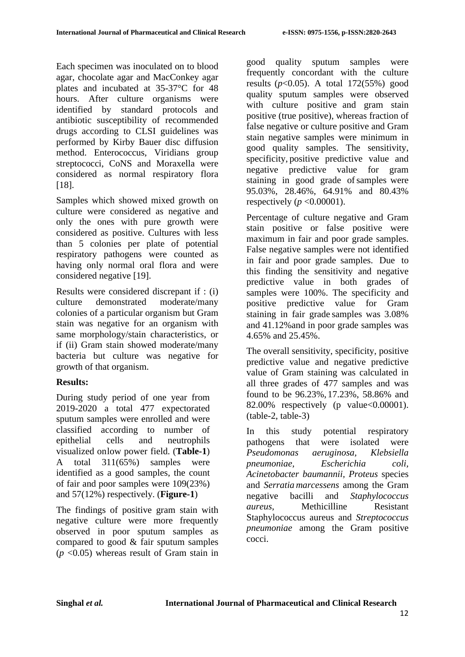Each specimen was inoculated on to blood agar, chocolate agar and MacConkey agar plates and incubated at 35-37°C for 48 hours. After culture organisms were identified by standard protocols and antibiotic susceptibility of recommended drugs according to CLSI guidelines was performed by Kirby Bauer disc diffusion method. Enterococcus, Viridians group streptococci, CoNS and Moraxella were considered as normal respiratory flora [18].

Samples which showed mixed growth on culture were considered as negative and only the ones with pure growth were considered as positive. Cultures with less than 5 colonies per plate of potential respiratory pathogens were counted as having only normal oral flora and were considered negative [19].

Results were considered discrepant if : (i) culture demonstrated moderate/many colonies of a particular organism but Gram stain was negative for an organism with same morphology/stain characteristics, or if (ii) Gram stain showed moderate/many bacteria but culture was negative for growth of that organism.

# **Results:**

During study period of one year from 2019-2020 a total 477 expectorated sputum samples were enrolled and were classified according to number of epithelial cells and neutrophils visualized onlow power field. (**Table-1**) A total 311(65%) samples were identified as a good samples, the count of fair and poor samples were 109(23%) and 57(12%) respectively. (**Figure-1**)

The findings of positive gram stain with negative culture were more frequently observed in poor sputum samples as compared to good & fair sputum samples (*p* <0.05) whereas result of Gram stain in good quality sputum samples were frequently concordant with the culture results  $(p<0.05)$ . A total 172(55%) good quality sputum samples were observed with culture positive and gram stain positive (true positive), whereas fraction of false negative or culture positive and Gram stain negative samples were minimum in good quality samples. The sensitivity, specificity, positive predictive value and negative predictive value for gram staining in good grade of samples were 95.03%, 28.46%, 64.91% and 80.43% respectively ( $p \le 0.00001$ ).

Percentage of culture negative and Gram stain positive or false positive were maximum in fair and poor grade samples. False negative samples were not identified in fair and poor grade samples. Due to this finding the sensitivity and negative predictive value in both grades of samples were 100%. The specificity and positive predictive value for Gram staining in fair grade samples was 3.08% and 41.12%and in poor grade samples was 4.65% and 25.45%.

The overall sensitivity, specificity, positive predictive value and negative predictive value of Gram staining was calculated in all three grades of 477 samples and was found to be 96.23%, 17.23%, 58.86% and 82.00% respectively (p value<0.00001). (table-2, table-3)

In this study potential respiratory pathogens that were isolated were *Pseudomonas aeruginosa, Klebsiella pneumoniae, Escherichia coli, Acinetobacter baumannii, Proteus* species and *Serratia marcessens* among the Gram negative bacilli and *Staphylococcus aureus*, Methicilline Resistant Staphylococcus aureus and *Streptococcus pneumoniae* among the Gram positive cocci.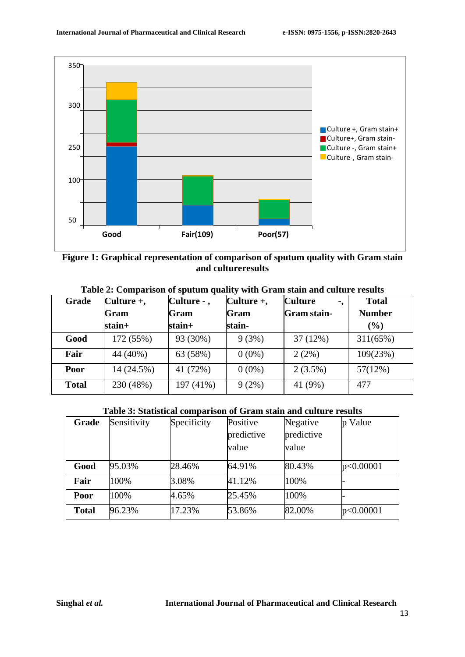



| Table 2: Comparison of sputum quality with Gram stain and culture results |  |  |  |  |
|---------------------------------------------------------------------------|--|--|--|--|
|---------------------------------------------------------------------------|--|--|--|--|

| Grade        | Culture $+,$ | $Culture -$ , | Culture $+,$ | <b>Culture</b><br>۰, | <b>Total</b>  |
|--------------|--------------|---------------|--------------|----------------------|---------------|
|              | Gram         | Gram          | Gram         | <b>Gram stain-</b>   | <b>Number</b> |
|              | $stain+$     | $stain+$      | stain-       |                      | (%)           |
| Good         | 172 (55%)    | 93 (30%)      | 9(3%)        | 37(12%)              | 311(65%)      |
| Fair         | 44 (40%)     | 63 (58%)      | $0(0\%)$     | 2(2%)                | 109(23%)      |
| Poor         | 14 (24.5%)   | 41 (72%)      | $0(0\%)$     | $2(3.5\%)$           | 57(12%)       |
| <b>Total</b> | 230 (48%)    | 197 (41%)     | $9(2\%)$     | 41 (9%)              | 477           |

## **Table 3: Statistical comparison of Gram stain and culture results**

| Grade        | Sensitivity | Specificity | Positive<br>predictive<br>value | Negative<br>predictive<br>value | Value     |
|--------------|-------------|-------------|---------------------------------|---------------------------------|-----------|
| Good         | 95.03%      | 28.46%      | 64.91%                          | 80.43%                          | p<0.00001 |
| Fair         | 100%        | 3.08%       | 41.12%                          | 100%                            |           |
| Poor         | 100%        | 4.65%       | 25.45%                          | 100%                            |           |
| <b>Total</b> | 96.23%      | 17.23%      | 53.86%                          | 82.00%                          | p<0.00001 |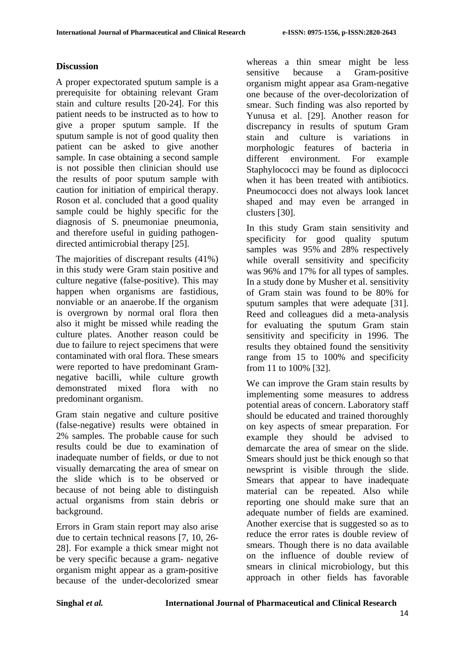### **Discussion**

A proper expectorated sputum sample is a prerequisite for obtaining relevant Gram stain and culture results [20-24]. For this patient needs to be instructed as to how to give a proper sputum sample. If the sputum sample is not of good quality then patient can be asked to give another sample. In case obtaining a second sample is not possible then clinician should use the results of poor sputum sample with caution for initiation of empirical therapy. Roson et al. concluded that a good quality sample could be highly specific for the diagnosis of S. pneumoniae pneumonia, and therefore useful in guiding pathogendirected antimicrobial therapy [25].

The majorities of discrepant results (41%) in this study were Gram stain positive and culture negative (false-positive). This may happen when organisms are fastidious, nonviable or an anaerobe.If the organism is overgrown by normal oral flora then also it might be missed while reading the culture plates. Another reason could be due to failure to reject specimens that were contaminated with oral flora. These smears were reported to have predominant Gramnegative bacilli, while culture growth demonstrated mixed flora with no predominant organism.

Gram stain negative and culture positive (false-negative) results were obtained in 2% samples. The probable cause for such results could be due to examination of inadequate number of fields, or due to not visually demarcating the area of smear on the slide which is to be observed or because of not being able to distinguish actual organisms from stain debris or background.

Errors in Gram stain report may also arise due to certain technical reasons [7, 10, 26- 28]. For example a thick smear might not be very specific because a gram- negative organism might appear as a gram-positive because of the under-decolorized smear

whereas a thin smear might be less sensitive because a Gram-positive organism might appear asa Gram-negative one because of the over-decolorization of smear. Such finding was also reported by Yunusa et al. [29]. Another reason for discrepancy in results of sputum Gram stain and culture is variations in morphologic features of bacteria in different environment. For example Staphylococci may be found as diplococci when it has been treated with antibiotics. Pneumococci does not always look lancet shaped and may even be arranged in clusters [30].

In this study Gram stain sensitivity and specificity for good quality sputum samples was 95% and 28% respectively while overall sensitivity and specificity was 96% and 17% for all types of samples. In a study done by Musher et al. sensitivity of Gram stain was found to be 80% for sputum samples that were adequate [31]. Reed and colleagues did a meta-analysis for evaluating the sputum Gram stain sensitivity and specificity in 1996. The results they obtained found the sensitivity range from 15 to 100% and specificity from 11 to 100% [32].

We can improve the Gram stain results by implementing some measures to address potential areas of concern. Laboratory staff should be educated and trained thoroughly on key aspects of smear preparation. For example they should be advised to demarcate the area of smear on the slide. Smears should just be thick enough so that newsprint is visible through the slide. Smears that appear to have inadequate material can be repeated. Also while reporting one should make sure that an adequate number of fields are examined. Another exercise that is suggested so as to reduce the error rates is double review of smears. Though there is no data available on the influence of double review of smears in clinical microbiology, but this approach in other fields has favorable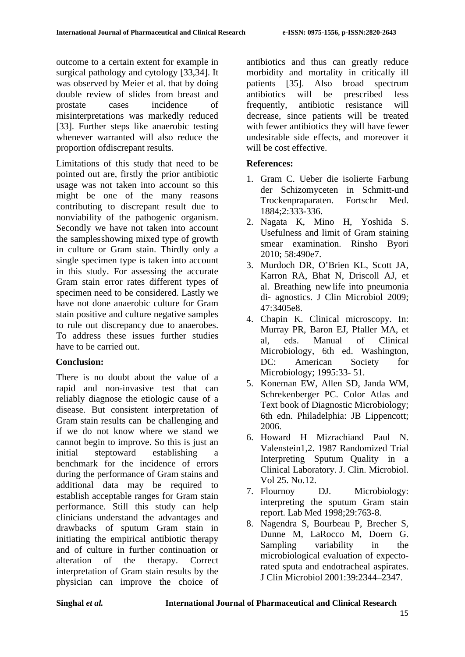outcome to a certain extent for example in surgical pathology and cytology [33,34]. It was observed by Meier et al. that by doing double review of slides from breast and prostate cases incidence of misinterpretations was markedly reduced [33]. Further steps like anaerobic testing whenever warranted will also reduce the proportion ofdiscrepant results.

Limitations of this study that need to be pointed out are, firstly the prior antibiotic usage was not taken into account so this might be one of the many reasons contributing to discrepant result due to nonviability of the pathogenic organism. Secondly we have not taken into account the samplesshowing mixed type of growth in culture or Gram stain. Thirdly only a single specimen type is taken into account in this study. For assessing the accurate Gram stain error rates different types of specimen need to be considered. Lastly we have not done anaerobic culture for Gram stain positive and culture negative samples to rule out discrepancy due to anaerobes. To address these issues further studies have to be carried out.

## **Conclusion:**

There is no doubt about the value of a rapid and non-invasive test that can reliably diagnose the etiologic cause of a disease. But consistent interpretation of Gram stain results can be challenging and if we do not know where we stand we cannot begin to improve. So this is just an initial steptoward establishing a benchmark for the incidence of errors during the performance of Gram stains and additional data may be required to establish acceptable ranges for Gram stain performance. Still this study can help clinicians understand the advantages and drawbacks of sputum Gram stain in initiating the empirical antibiotic therapy and of culture in further continuation or alteration of the therapy. Correct interpretation of Gram stain results by the physician can improve the choice of antibiotics and thus can greatly reduce morbidity and mortality in critically ill patients [35]. Also broad spectrum antibiotics will be prescribed less frequently, antibiotic resistance will decrease, since patients will be treated with fewer antibiotics they will have fewer undesirable side effects, and moreover it will be cost effective.

# **References:**

- 1. Gram C. Ueber die isolierte Farbung der Schizomyceten in Schmitt-und Trockenpraparaten. Fortschr Med. 1884;2:333-336.
- 2. Nagata K, Mino H, Yoshida S. Usefulness and limit of Gram staining smear examination. Rinsho Byori 2010; 58:490e7.
- 3. Murdoch DR, O'Brien KL, Scott JA, Karron RA, Bhat N, Driscoll AJ, et al. Breathing new life into pneumonia di- agnostics. J Clin Microbiol 2009; 47:3405e8.
- 4. Chapin K. Clinical microscopy. In: Murray PR, Baron EJ, Pfaller MA, et al, eds. Manual of Clinical Microbiology, 6th ed. Washington, DC: American Society for Microbiology; 1995:33- 51.
- 5. Koneman EW, Allen SD, Janda WM, Schrekenberger PC. Color Atlas and Text book of Diagnostic Microbiology; 6th edn. Philadelphia: JB Lippencott; 2006.
- 6. Howard H Mizrachiand Paul N. Valenstein1,2. 1987 Randomized Trial Interpreting Sputum Quality in a Clinical Laboratory. J. Clin. Microbiol. Vol 25. No.12.
- 7. Flournoy DJ. Microbiology: interpreting the sputum Gram stain report. Lab Med 1998;29:763-8.
- 8. Nagendra S, Bourbeau P, Brecher S, Dunne M, LaRocco M, Doern G. Sampling variability in the microbiological evaluation of expectorated sputa and endotracheal aspirates. J Clin Microbiol 2001:39:2344–2347.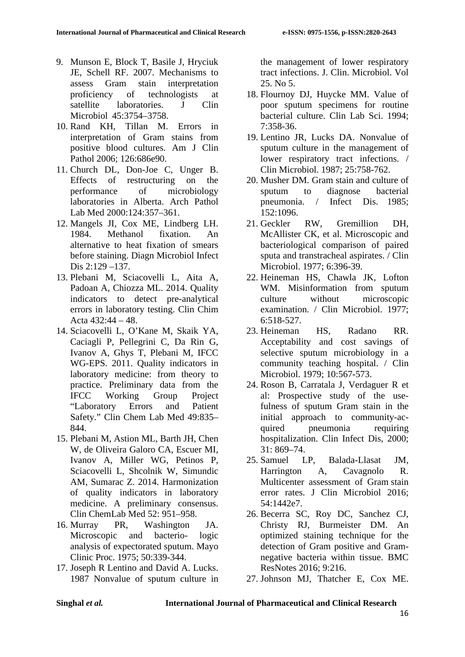- 9. Munson E, Block T, Basile J, Hryciuk JE, Schell RF. 2007. Mechanisms to assess Gram stain interpretation proficiency of technologists at satellite laboratories. J Clin Microbiol 45:3754–3758.
- 10. Rand KH, Tillan M. Errors in interpretation of Gram stains from positive blood cultures. Am J Clin Pathol 2006; 126:686e90.
- 11. Church DL, Don-Joe C, Unger B. Effects of restructuring on the performance of microbiology laboratories in Alberta. Arch Pathol Lab Med 2000:124:357–361.
- 12. Mangels JI, Cox ME, Lindberg LH. 1984. Methanol fixation. An alternative to heat fixation of smears before staining. Diagn Microbiol Infect Dis 2:129 –137.
- 13. Plebani M, Sciacovelli L, Aita A, Padoan A, Chiozza ML. 2014. Quality indicators to detect pre-analytical errors in laboratory testing. Clin Chim Acta 432:44 – 48.
- 14. Sciacovelli L, O'Kane M, Skaik YA, Caciagli P, Pellegrini C, Da Rin G, Ivanov A, Ghys T, Plebani M, IFCC WG-EPS. 2011. Quality indicators in laboratory medicine: from theory to practice. Preliminary data from the IFCC Working Group Project "Laboratory Errors and Patient Safety." Clin Chem Lab Med 49:835– 844.
- 15. Plebani M, Astion ML, Barth JH, Chen W, de Oliveira Galoro CA, Escuer MI, Ivanov A, Miller WG, Petinos P, Sciacovelli L, Shcolnik W, Simundic AM, Sumarac Z. 2014. Harmonization of quality indicators in laboratory medicine. A preliminary consensus. Clin ChemLab Med 52: 951–958.
- 16. Murray PR, Washington JA. Microscopic and bacterio- logic analysis of expectorated sputum. Mayo Clinic Proc. 1975; 50:339-344.
- 17. Joseph R Lentino and David A. Lucks. 1987 Nonvalue of sputum culture in

the management of lower respiratory tract infections. J. Clin. Microbiol. Vol 25. No 5.

- 18. Flournoy DJ, Huycke MM. Value of poor sputum specimens for routine bacterial culture. Clin Lab Sci. 1994; 7:358-36.
- 19. Lentino JR, Lucks DA. Nonvalue of sputum culture in the management of lower respiratory tract infections. / Clin Microbiol. 1987; 25:758-762.
- 20. Musher DM. Gram stain and culture of sputum to diagnose bacterial pneumonia. / Infect Dis. 1985; 152:1096.
- 21. Geckler RW, Gremillion DH, McAllister CK, et al. Microscopic and bacteriological comparison of paired sputa and transtracheal aspirates. / Clin Microbiol. 1977; 6:396-39.
- 22. Heineman HS, Chawla JK, Lofton WM. Misinformation from sputum culture without microscopic examination. / Clin Microbiol. 1977; 6:518-527.
- 23. Heineman HS, Radano RR. Acceptability and cost savings of selective sputum microbiology in a community teaching hospital. / Clin Microbiol. 1979; 10:567-573.
- 24. Roson B, Carratala J, Verdaguer R et al: Prospective study of the usefulness of sputum Gram stain in the initial approach to community-acquired pneumonia requiring hospitalization. Clin Infect Dis, 2000;  $31: 869 - 74.$
- 25. Samuel LP, Balada-Llasat JM, Harrington A, Cavagnolo R. Multicenter assessment of Gram stain error rates. J Clin Microbiol 2016; 54:1442e7.
- 26. Becerra SC, Roy DC, Sanchez CJ, Christy RJ, Burmeister DM. An optimized staining technique for the detection of Gram positive and Gramnegative bacteria within tissue. BMC ResNotes 2016; 9:216.
- 27. Johnson MJ, Thatcher E, Cox ME.